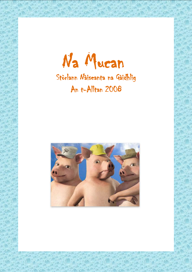Na Mucan

## Stòrlann Nàiseanta na Gàidhlig An t-Alltan 2008

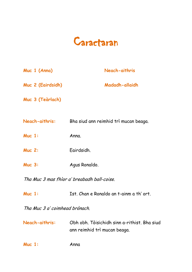

| Muc 1 (Anna)                   | Neach-aithris                                                                |
|--------------------------------|------------------------------------------------------------------------------|
| Muc 2 (Eairdsidh)              | Madadh-allaidh                                                               |
| Muc 3 (Teàrlach)               |                                                                              |
|                                | Neach-aithris: Bha siud ann reimhid trì mucan beaga.                         |
| $Muc$ 1:                       | Anna.                                                                        |
| <b>Muc 2:</b>                  | Eairdsidh.                                                                   |
| <b>Muc 3:</b>                  | Agus Ronaldo.                                                                |
|                                | Tha Muc 3 mas fhìor a' breabadh ball-coise.                                  |
| $Muc$ 1:                       | Ist. Chan e Ronaldo an t-ainm a th' ort.                                     |
| Tha Muc 3 a' coimhead brònach. |                                                                              |
| Neach-aithris:                 | Obh obh. Tòisichidh sinn a-rithist. Bha siud<br>ann reimhid trì mucan beaga. |
| $Muc$ 1:                       | Anna                                                                         |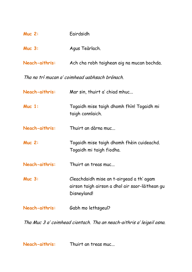| $Muc$ 2:           | Eairdsidh                                  |
|--------------------|--------------------------------------------|
| Muc <sub>3</sub> : | Agus Teàrlach.                             |
| Neach-aithris:     | Ach cha robh taighean aig na mucan bochda. |

Tha na trì mucan a' coimhead uabhsach brònach.

| Neach-aithris: | Mar sin, thuirt a' chiad mhuc                                                                              |
|----------------|------------------------------------------------------------------------------------------------------------|
| $Muc$ 1:       | Togaidh mise taigh dhomh fhin! Togaidh mi<br>taigh connlaich.                                              |
| Neach-aithris: | Thuirt an dàrna muc                                                                                        |
| <b>Muc 2:</b>  | Togaidh mise taigh dhomh fhèin cuideachd.<br>Togaidh mi taigh fiodha.                                      |
| Neach-aithris: | Thuirt an treas muc                                                                                        |
| <b>Muc 3:</b>  | Cleachdaidh mise an t-airgead a th' agam<br>airson taigh airson a dhol air saor-làithean gu<br>Disneyland! |
| Neach-aithris: | Gabh mo lethsgeul?                                                                                         |

Tha Muc 3 a' coimhead ciontach. Tha an neach-aithris a' leigeil osna.

**Neach-aithris:** Thuirt an treas muc...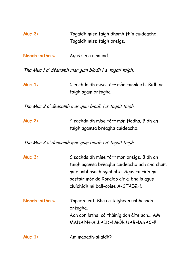| <b>Muc 3:</b>                                         | Togaidh mise taigh dhomh fhin cuideachd.<br>Togaidh mise taigh breige.                                                                                                                                                  |
|-------------------------------------------------------|-------------------------------------------------------------------------------------------------------------------------------------------------------------------------------------------------------------------------|
| Neach-aithris:                                        | Agus sin a rinn iad.                                                                                                                                                                                                    |
|                                                       | Tha Muc 1 a' dèanamh mar gum biodh i a' togail taigh.                                                                                                                                                                   |
| Muc $1:$                                              | Cleachdaidh mise tòrr mòr connlaich. Bidh an<br>taigh agam brèagha!                                                                                                                                                     |
| Tha Muc 2 a' dèanamh mar gum biodh i a' togail taigh. |                                                                                                                                                                                                                         |
| <b>Muc 2:</b>                                         | Cleachdaidh mise tòrr mòr fiodha. Bidh an<br>taigh agamsa brèagha cuideachd.                                                                                                                                            |
|                                                       | Tha Muc 3 a' dèanamh mar gum biodh i a' togail taigh.                                                                                                                                                                   |
| <b>Muc 3:</b>                                         | Cleachdaidh mise tòrr mòr breige. Bidh an<br>taigh agamsa brèagha cuideachd ach cha chum<br>mi e uabhasach sgiobalta. Agus cuiridh mi<br>postair mòr de Ronaldo air a' bhalla agus<br>cluichidh mi ball-coise A-STAIGH. |
| Neach-aithris:                                        | Tapadh leat. Bha na taighean uabhasach<br>brèagha.<br>Ach aon latha, cò thàinig don àite ach AM<br>MADADH-ALLAIDH MÒR UABHASACH!                                                                                        |
| $Muc$ 1:                                              | Am madadh-allaidh?                                                                                                                                                                                                      |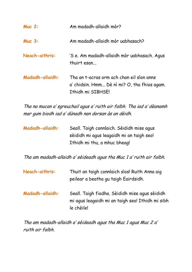| <b>Muc 2:</b>          | Am madadh-allaidh mòr?                                                                                         |
|------------------------|----------------------------------------------------------------------------------------------------------------|
| <b>Muc 3:</b>          | Am madadh-allaidh mòr uabhasach?                                                                               |
| Neach-aithris:         | 'S e. Am madadh-allaidh mòr uabhasach. Agus<br>thuirt esan                                                     |
| <b>Madadh-allaidh:</b> | Tha an t-acras orm ach chan eil sìon anns<br>a' chidsin. Hmm Dè nì mi? O, tha fhios agam.<br>Ithidh mi SIBHSE! |

Tha na mucan a' sgreuchail agus a' ruith air falbh. Tha iad a' dèanamh mar gum biodh iad a' dùnadh nan dorsan às an dèidh.

| <b>Madadh-allaidh:</b> | Seall. Taigh connlaich. Sèididh mise agus |
|------------------------|-------------------------------------------|
|                        | sèididh mi agus leagaidh mi an taigh seo! |
|                        | Ithidh mi thu, a mhuc bheag!              |

Tha am madadh-allaidh a' sèideadh agus tha Muc 1 a' ruith air falbh.

| Neach-aithris:         | Thuit an taigh connlaich sìos! Ruith Anna aig<br>peilear a beatha gu taigh Eairdsidh.                            |
|------------------------|------------------------------------------------------------------------------------------------------------------|
| <b>Madadh-allaidh:</b> | Seall. Taigh fiodha. Sèididh mise agus sèididh<br>mi agus leagaidh mi an taigh seo! Ithidh mi sibh<br>le chèile! |

Tha am madadh-allaidh a' sèideadh agus tha Muc 1 agus Muc 2 a' ruith air falbh.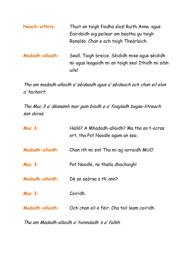| Neach-aithris:         | Thuit an taigh fiodha sìos! Ruith Anna agus<br>Eairdsidh aig peilear am beatha gu taigh<br>Ronaldo. Chan e ach taigh Theàrlaich. |
|------------------------|----------------------------------------------------------------------------------------------------------------------------------|
| <b>Madadh-allaidh:</b> | Seall. Taigh breice. Sèididh mise agus sèididh<br>mi agus leagaidh mi an taigh seo! Ithidh mi sibh<br>uile!                      |

Tha am madadh-allaidh a' sèideadh agus a' sèideach ach chan eil sìon <sup>a</sup>' tachairt.

Tha Muc 3 a' dèanamh mar gum biodh e a' fosgladh bogsa-litreach san doras.

| <b>Muc 3:</b>          | Hallò? A Mhadadh-allaidh? Ma tha an t-acras<br>ort, tha Pot Noodle agam an seo. |
|------------------------|---------------------------------------------------------------------------------|
| <b>Madadh-allaidh:</b> | Chan ith mi sin! Tha mi ag iarraidh MUC!                                        |
| <b>Muc 3:</b>          | Pot Noodle, no thalla dhachaigh!                                                |
| <b>Madadh-allaidh:</b> | Dè an seòrsa a th' ann?                                                         |
| <b>Muc 3:</b>          | Coiridh.                                                                        |
| <b>Madadh-allaidh:</b> | Och chan eil e fèir. Cha toil leam coiridh.                                     |

Tha am Madadh-allaidh a' tionndadh 's a' falbh.